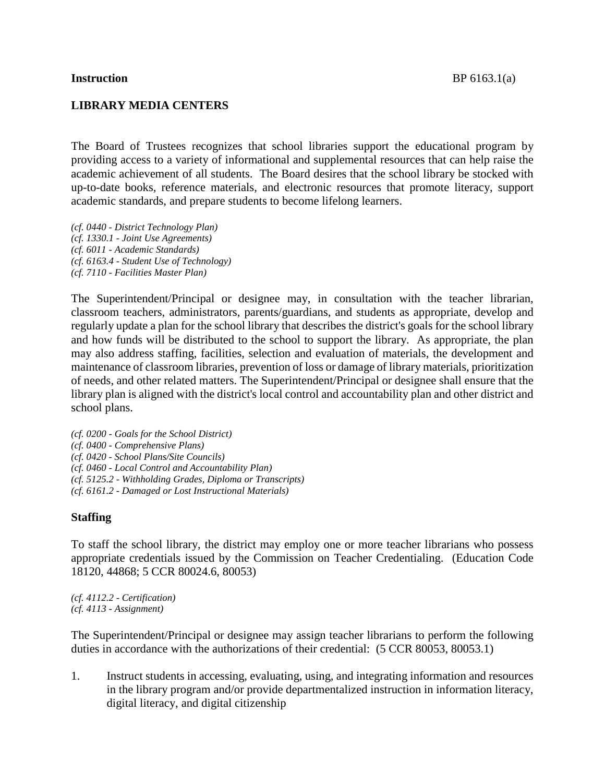## **LIBRARY MEDIA CENTERS**

The Board of Trustees recognizes that school libraries support the educational program by providing access to a variety of informational and supplemental resources that can help raise the academic achievement of all students. The Board desires that the school library be stocked with up-to-date books, reference materials, and electronic resources that promote literacy, support academic standards, and prepare students to become lifelong learners.

*(cf. 0440 - District Technology Plan) (cf. 1330.1 - Joint Use Agreements) (cf. 6011 - Academic Standards) (cf. 6163.4 - Student Use of Technology) (cf. 7110 - Facilities Master Plan)*

The Superintendent/Principal or designee may, in consultation with the teacher librarian, classroom teachers, administrators, parents/guardians, and students as appropriate, develop and regularly update a plan for the school library that describes the district's goals for the school library and how funds will be distributed to the school to support the library. As appropriate, the plan may also address staffing, facilities, selection and evaluation of materials, the development and maintenance of classroom libraries, prevention of loss or damage of library materials, prioritization of needs, and other related matters. The Superintendent/Principal or designee shall ensure that the library plan is aligned with the district's local control and accountability plan and other district and school plans.

*(cf. 0200 - Goals for the School District) (cf. 0400 - Comprehensive Plans) (cf. 0420 - School Plans/Site Councils) (cf. 0460 - Local Control and Accountability Plan) (cf. 5125.2 - Withholding Grades, Diploma or Transcripts) (cf. 6161.2 - Damaged or Lost Instructional Materials)*

## **Staffing**

To staff the school library, the district may employ one or more teacher librarians who possess appropriate credentials issued by the Commission on Teacher Credentialing. (Education Code 18120, 44868; 5 CCR 80024.6, 80053)

*(cf. 4112.2 - Certification) (cf. 4113 - Assignment)*

The Superintendent/Principal or designee may assign teacher librarians to perform the following duties in accordance with the authorizations of their credential: (5 CCR 80053, 80053.1)

1. Instruct students in accessing, evaluating, using, and integrating information and resources in the library program and/or provide departmentalized instruction in information literacy, digital literacy, and digital citizenship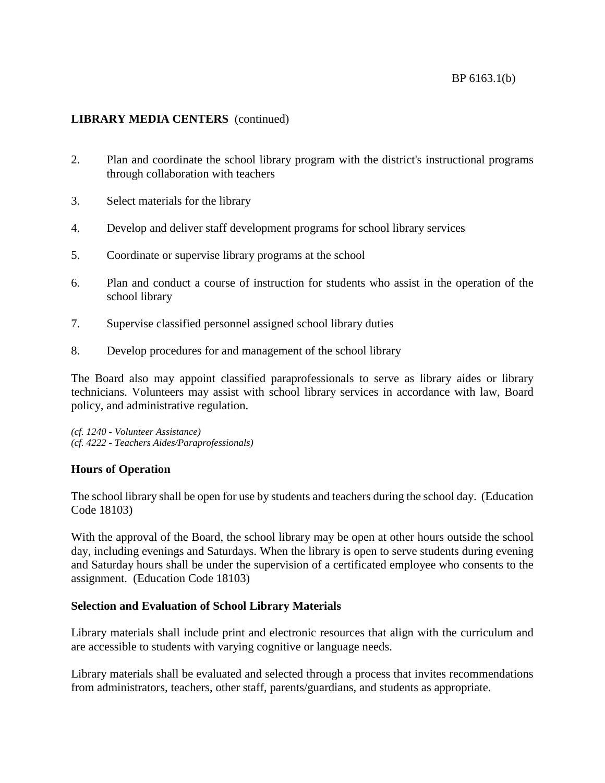## BP 6163.1(b)

## **LIBRARY MEDIA CENTERS** (continued)

- 2. Plan and coordinate the school library program with the district's instructional programs through collaboration with teachers
- 3. Select materials for the library
- 4. Develop and deliver staff development programs for school library services
- 5. Coordinate or supervise library programs at the school
- 6. Plan and conduct a course of instruction for students who assist in the operation of the school library
- 7. Supervise classified personnel assigned school library duties
- 8. Develop procedures for and management of the school library

The Board also may appoint classified paraprofessionals to serve as library aides or library technicians. Volunteers may assist with school library services in accordance with law, Board policy, and administrative regulation.

*(cf. 1240 - Volunteer Assistance) (cf. 4222 - Teachers Aides/Paraprofessionals)*

## **Hours of Operation**

The school library shall be open for use by students and teachers during the school day. (Education Code 18103)

With the approval of the Board, the school library may be open at other hours outside the school day, including evenings and Saturdays. When the library is open to serve students during evening and Saturday hours shall be under the supervision of a certificated employee who consents to the assignment. (Education Code 18103)

## **Selection and Evaluation of School Library Materials**

Library materials shall include print and electronic resources that align with the curriculum and are accessible to students with varying cognitive or language needs.

Library materials shall be evaluated and selected through a process that invites recommendations from administrators, teachers, other staff, parents/guardians, and students as appropriate.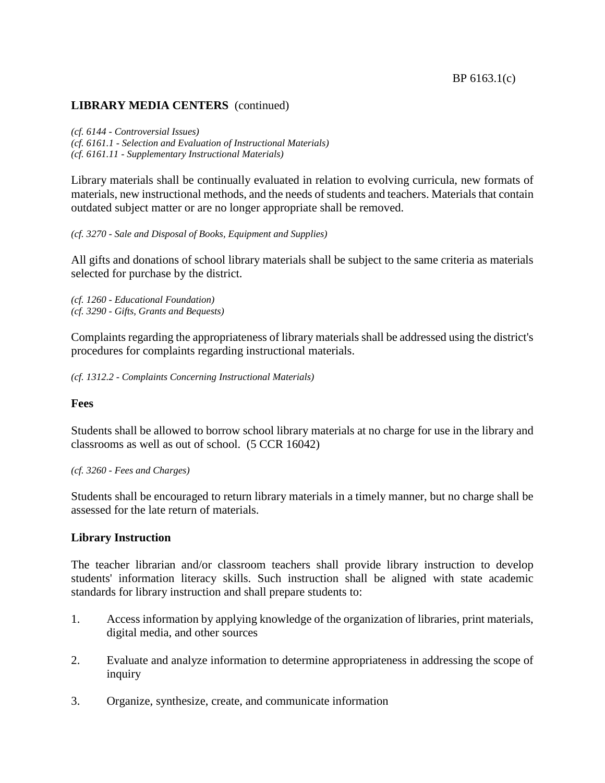### **LIBRARY MEDIA CENTERS** (continued)

*(cf. 6144 - Controversial Issues) (cf. 6161.1 - Selection and Evaluation of Instructional Materials) (cf. 6161.11 - Supplementary Instructional Materials)*

Library materials shall be continually evaluated in relation to evolving curricula, new formats of materials, new instructional methods, and the needs of students and teachers. Materials that contain outdated subject matter or are no longer appropriate shall be removed.

*(cf. 3270 - Sale and Disposal of Books, Equipment and Supplies)*

All gifts and donations of school library materials shall be subject to the same criteria as materials selected for purchase by the district.

*(cf. 1260 - Educational Foundation) (cf. 3290 - Gifts, Grants and Bequests)*

Complaints regarding the appropriateness of library materials shall be addressed using the district's procedures for complaints regarding instructional materials.

*(cf. 1312.2 - Complaints Concerning Instructional Materials)*

#### **Fees**

Students shall be allowed to borrow school library materials at no charge for use in the library and classrooms as well as out of school. (5 CCR 16042)

*(cf. 3260 - Fees and Charges)*

Students shall be encouraged to return library materials in a timely manner, but no charge shall be assessed for the late return of materials.

#### **Library Instruction**

The teacher librarian and/or classroom teachers shall provide library instruction to develop students' information literacy skills. Such instruction shall be aligned with state academic standards for library instruction and shall prepare students to:

- 1. Access information by applying knowledge of the organization of libraries, print materials, digital media, and other sources
- 2. Evaluate and analyze information to determine appropriateness in addressing the scope of inquiry
- 3. Organize, synthesize, create, and communicate information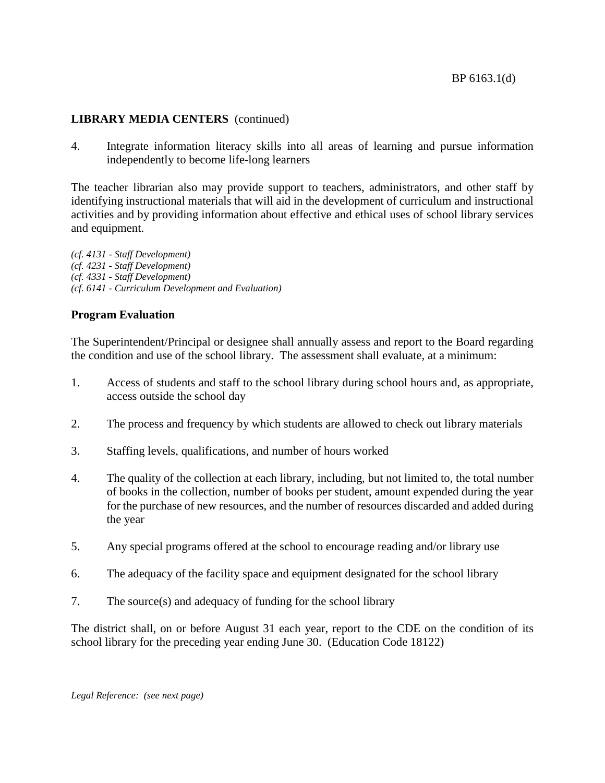### BP 6163.1(d)

# **LIBRARY MEDIA CENTERS** (continued)

4. Integrate information literacy skills into all areas of learning and pursue information independently to become life-long learners

The teacher librarian also may provide support to teachers, administrators, and other staff by identifying instructional materials that will aid in the development of curriculum and instructional activities and by providing information about effective and ethical uses of school library services and equipment.

*(cf. 4131 - Staff Development) (cf. 4231 - Staff Development) (cf. 4331 - Staff Development) (cf. 6141 - Curriculum Development and Evaluation)*

## **Program Evaluation**

The Superintendent/Principal or designee shall annually assess and report to the Board regarding the condition and use of the school library. The assessment shall evaluate, at a minimum:

- 1. Access of students and staff to the school library during school hours and, as appropriate, access outside the school day
- 2. The process and frequency by which students are allowed to check out library materials
- 3. Staffing levels, qualifications, and number of hours worked
- 4. The quality of the collection at each library, including, but not limited to, the total number of books in the collection, number of books per student, amount expended during the year for the purchase of new resources, and the number of resources discarded and added during the year
- 5. Any special programs offered at the school to encourage reading and/or library use
- 6. The adequacy of the facility space and equipment designated for the school library
- 7. The source(s) and adequacy of funding for the school library

The district shall, on or before August 31 each year, report to the CDE on the condition of its school library for the preceding year ending June 30. (Education Code 18122)